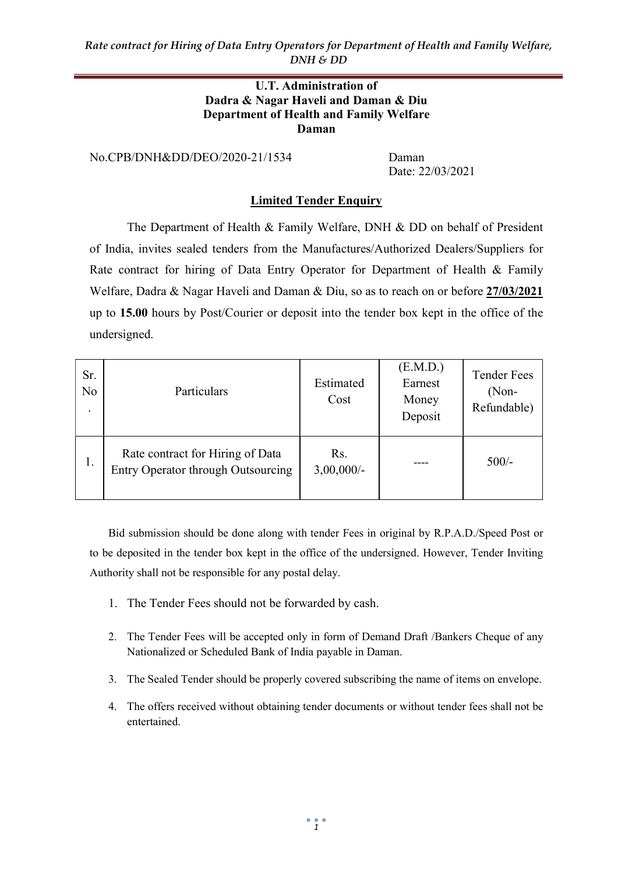#### U.T. Administration of Dadra & Nagar Haveli and Daman & Diu Department of Health and Family Welfare Daman

No.CPB/DNH&DD/DEO/2020-21/1534 Daman

Date: 22/03/2021

### Limited Tender Enquiry

The Department of Health & Family Welfare, DNH & DD on behalf of President of India, invites sealed tenders from the Manufactures/Authorized Dealers/Suppliers for Rate contract for hiring of Data Entry Operator for Department of Health & Family Welfare, Dadra & Nagar Haveli and Daman & Diu, so as to reach on or before 27/03/2021 up to 15.00 hours by Post/Courier or deposit into the tender box kept in the office of the undersigned.

| Sr.<br>No | Particulars                                                            | Estimated<br>Cost    | (E.M.D.)<br>Earnest<br>Money<br>Deposit | <b>Tender Fees</b><br>$(Non-$<br>Refundable) |
|-----------|------------------------------------------------------------------------|----------------------|-----------------------------------------|----------------------------------------------|
| 1.        | Rate contract for Hiring of Data<br>Entry Operator through Outsourcing | Rs.<br>$3,00,000/$ - |                                         | $500/-$                                      |

Bid submission should be done along with tender Fees in original by R.P.A.D./Speed Post or to be deposited in the tender box kept in the office of the undersigned. However, Tender Inviting Authority shall not be responsible for any postal delay.

- 1. The Tender Fees should not be forwarded by cash.
- 2. The Tender Fees will be accepted only in form of Demand Draft /Bankers Cheque of any Nationalized or Scheduled Bank of India payable in Daman.
- 3. The Sealed Tender should be properly covered subscribing the name of items on envelope.
- 4. The offers received without obtaining tender documents or without tender fees shall not be entertained.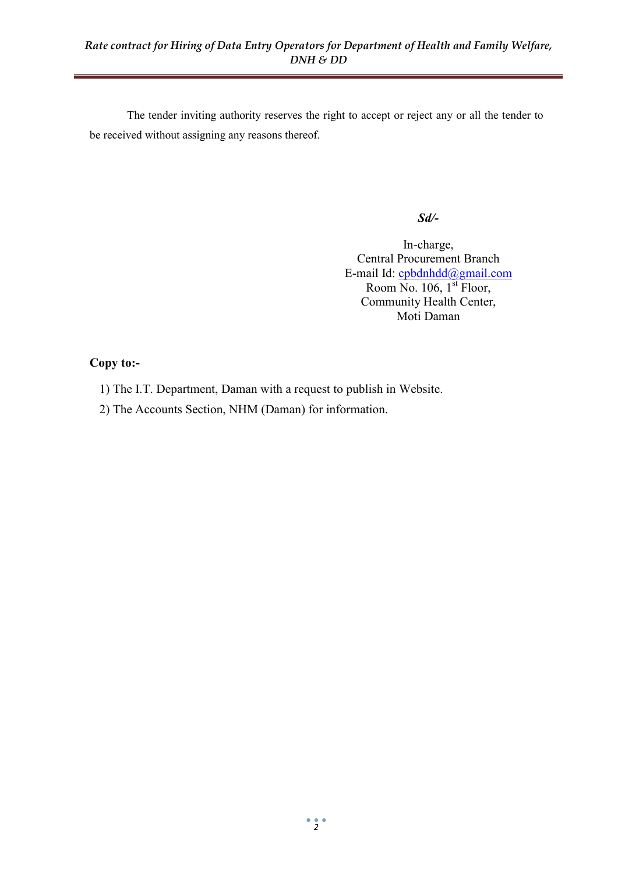The tender inviting authority reserves the right to accept or reject any or all the tender to be received without assigning any reasons thereof.

#### Sd/-

In-charge, Central Procurement Branch E-mail Id: cpbdnhdd@gmail.com Room No. 106, 1<sup>st</sup> Floor, Community Health Center, Moti Daman

#### Copy to:-

- 1) The I.T. Department, Daman with a request to publish in Website.
- 2) The Accounts Section, NHM (Daman) for information.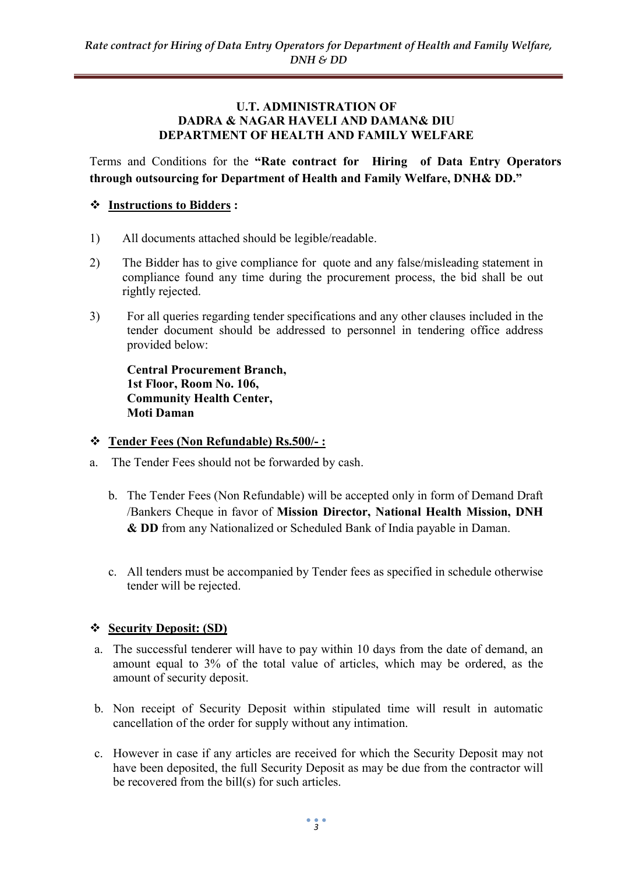#### U.T. ADMINISTRATION OF DADRA & NAGAR HAVELI AND DAMAN& DIU DEPARTMENT OF HEALTH AND FAMILY WELFARE

Terms and Conditions for the "Rate contract for Hiring of Data Entry Operators through outsourcing for Department of Health and Family Welfare, DNH& DD."

## Instructions to Bidders :

- 1) All documents attached should be legible/readable.
- 2) The Bidder has to give compliance for quote and any false/misleading statement in compliance found any time during the procurement process, the bid shall be out rightly rejected.
- 3) For all queries regarding tender specifications and any other clauses included in the tender document should be addressed to personnel in tendering office address provided below:

Central Procurement Branch, 1st Floor, Room No. 106, Community Health Center, Moti Daman

### Tender Fees (Non Refundable) Rs.500/- :

- a. The Tender Fees should not be forwarded by cash.
	- b. The Tender Fees (Non Refundable) will be accepted only in form of Demand Draft /Bankers Cheque in favor of Mission Director, National Health Mission, DNH & DD from any Nationalized or Scheduled Bank of India payable in Daman.
	- c. All tenders must be accompanied by Tender fees as specified in schedule otherwise tender will be rejected.

## Security Deposit: (SD)

- a. The successful tenderer will have to pay within 10 days from the date of demand, an amount equal to 3% of the total value of articles, which may be ordered, as the amount of security deposit.
- b. Non receipt of Security Deposit within stipulated time will result in automatic cancellation of the order for supply without any intimation.
- c. However in case if any articles are received for which the Security Deposit may not have been deposited, the full Security Deposit as may be due from the contractor will be recovered from the bill(s) for such articles.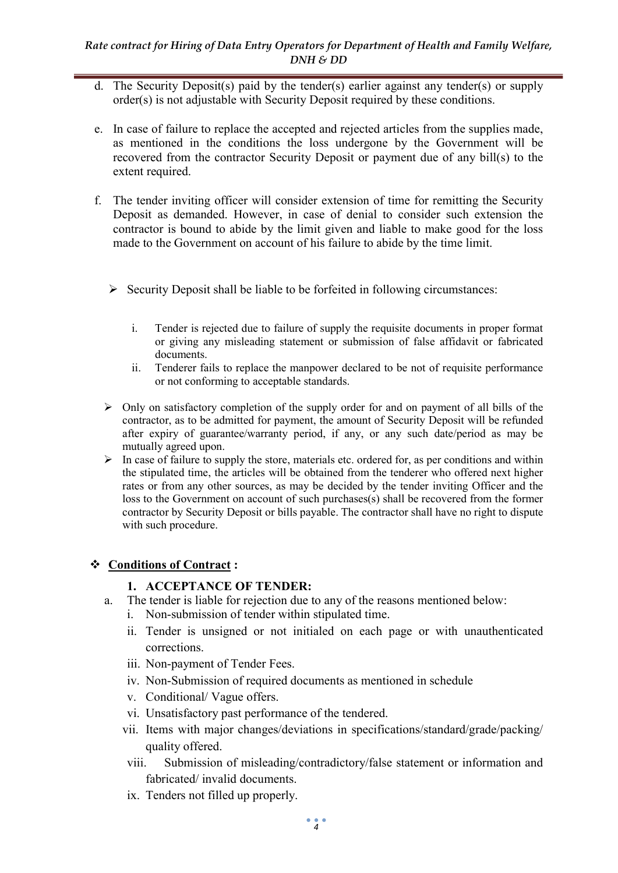- d. The Security Deposit(s) paid by the tender(s) earlier against any tender(s) or supply order(s) is not adjustable with Security Deposit required by these conditions.
- e. In case of failure to replace the accepted and rejected articles from the supplies made, as mentioned in the conditions the loss undergone by the Government will be recovered from the contractor Security Deposit or payment due of any bill(s) to the extent required.
- f. The tender inviting officer will consider extension of time for remitting the Security Deposit as demanded. However, in case of denial to consider such extension the contractor is bound to abide by the limit given and liable to make good for the loss made to the Government on account of his failure to abide by the time limit.
	- $\triangleright$  Security Deposit shall be liable to be forfeited in following circumstances:
		- i. Tender is rejected due to failure of supply the requisite documents in proper format or giving any misleading statement or submission of false affidavit or fabricated documents.
		- ii. Tenderer fails to replace the manpower declared to be not of requisite performance or not conforming to acceptable standards.
	- $\triangleright$  Only on satisfactory completion of the supply order for and on payment of all bills of the contractor, as to be admitted for payment, the amount of Security Deposit will be refunded after expiry of guarantee/warranty period, if any, or any such date/period as may be mutually agreed upon.
	- $\triangleright$  In case of failure to supply the store, materials etc. ordered for, as per conditions and within the stipulated time, the articles will be obtained from the tenderer who offered next higher rates or from any other sources, as may be decided by the tender inviting Officer and the loss to the Government on account of such purchases(s) shall be recovered from the former contractor by Security Deposit or bills payable. The contractor shall have no right to dispute with such procedure.

## Conditions of Contract :

## 1. ACCEPTANCE OF TENDER:

- a. The tender is liable for rejection due to any of the reasons mentioned below:
	- i. Non-submission of tender within stipulated time.
	- ii. Tender is unsigned or not initialed on each page or with unauthenticated corrections.
	- iii. Non-payment of Tender Fees.
	- iv. Non-Submission of required documents as mentioned in schedule
	- v. Conditional/ Vague offers.
	- vi. Unsatisfactory past performance of the tendered.
	- vii. Items with major changes/deviations in specifications/standard/grade/packing/ quality offered.
	- viii. Submission of misleading/contradictory/false statement or information and fabricated/ invalid documents.
	- ix. Tenders not filled up properly.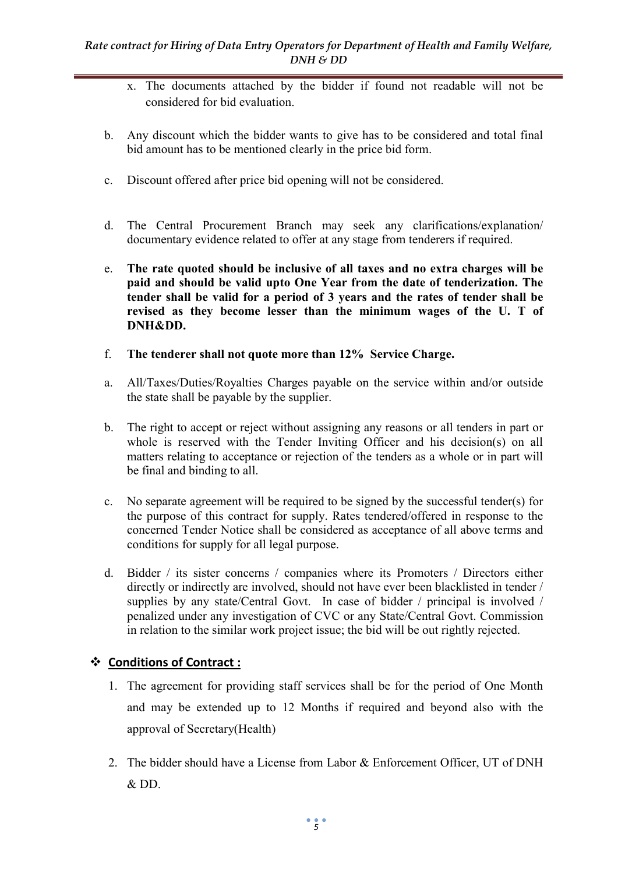- x. The documents attached by the bidder if found not readable will not be considered for bid evaluation.
- b. Any discount which the bidder wants to give has to be considered and total final bid amount has to be mentioned clearly in the price bid form.
- c. Discount offered after price bid opening will not be considered.
- d. The Central Procurement Branch may seek any clarifications/explanation/ documentary evidence related to offer at any stage from tenderers if required.
- e. The rate quoted should be inclusive of all taxes and no extra charges will be paid and should be valid upto One Year from the date of tenderization. The tender shall be valid for a period of 3 years and the rates of tender shall be revised as they become lesser than the minimum wages of the U. T of DNH&DD.
- f. The tenderer shall not quote more than 12% Service Charge.
- a. All/Taxes/Duties/Royalties Charges payable on the service within and/or outside the state shall be payable by the supplier.
- b. The right to accept or reject without assigning any reasons or all tenders in part or whole is reserved with the Tender Inviting Officer and his decision(s) on all matters relating to acceptance or rejection of the tenders as a whole or in part will be final and binding to all.
- c. No separate agreement will be required to be signed by the successful tender(s) for the purpose of this contract for supply. Rates tendered/offered in response to the concerned Tender Notice shall be considered as acceptance of all above terms and conditions for supply for all legal purpose.
- d. Bidder / its sister concerns / companies where its Promoters / Directors either directly or indirectly are involved, should not have ever been blacklisted in tender / supplies by any state/Central Govt. In case of bidder / principal is involved / penalized under any investigation of CVC or any State/Central Govt. Commission in relation to the similar work project issue; the bid will be out rightly rejected.

## Conditions of Contract :

- 1. The agreement for providing staff services shall be for the period of One Month and may be extended up to 12 Months if required and beyond also with the approval of Secretary(Health)
- 2. The bidder should have a License from Labor & Enforcement Officer, UT of DNH & DD.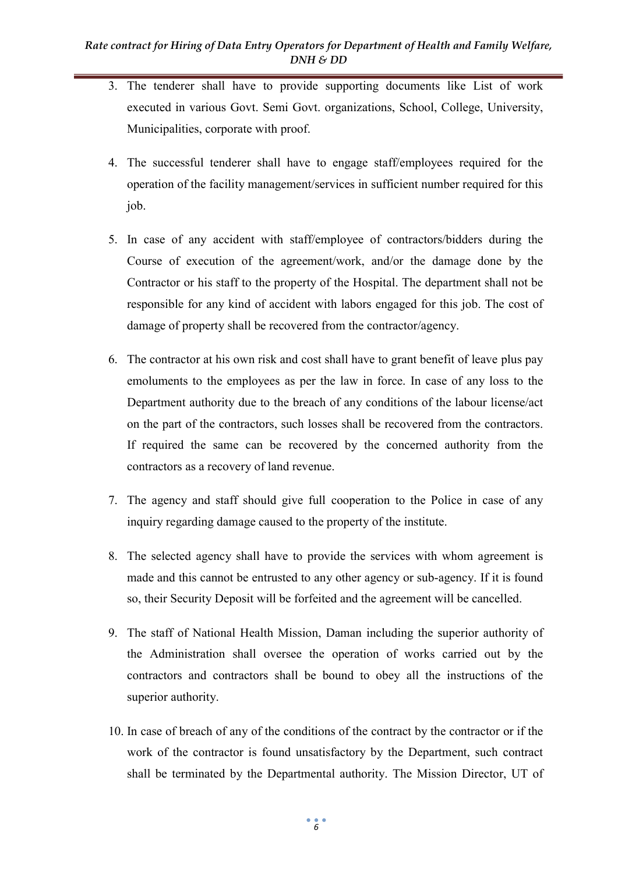- 3. The tenderer shall have to provide supporting documents like List of work executed in various Govt. Semi Govt. organizations, School, College, University, Municipalities, corporate with proof.
- 4. The successful tenderer shall have to engage staff/employees required for the operation of the facility management/services in sufficient number required for this job.
- 5. In case of any accident with staff/employee of contractors/bidders during the Course of execution of the agreement/work, and/or the damage done by the Contractor or his staff to the property of the Hospital. The department shall not be responsible for any kind of accident with labors engaged for this job. The cost of damage of property shall be recovered from the contractor/agency.
- 6. The contractor at his own risk and cost shall have to grant benefit of leave plus pay emoluments to the employees as per the law in force. In case of any loss to the Department authority due to the breach of any conditions of the labour license/act on the part of the contractors, such losses shall be recovered from the contractors. If required the same can be recovered by the concerned authority from the contractors as a recovery of land revenue.
- 7. The agency and staff should give full cooperation to the Police in case of any inquiry regarding damage caused to the property of the institute.
- 8. The selected agency shall have to provide the services with whom agreement is made and this cannot be entrusted to any other agency or sub-agency. If it is found so, their Security Deposit will be forfeited and the agreement will be cancelled.
- 9. The staff of National Health Mission, Daman including the superior authority of the Administration shall oversee the operation of works carried out by the contractors and contractors shall be bound to obey all the instructions of the superior authority.
- 10. In case of breach of any of the conditions of the contract by the contractor or if the work of the contractor is found unsatisfactory by the Department, such contract shall be terminated by the Departmental authority. The Mission Director, UT of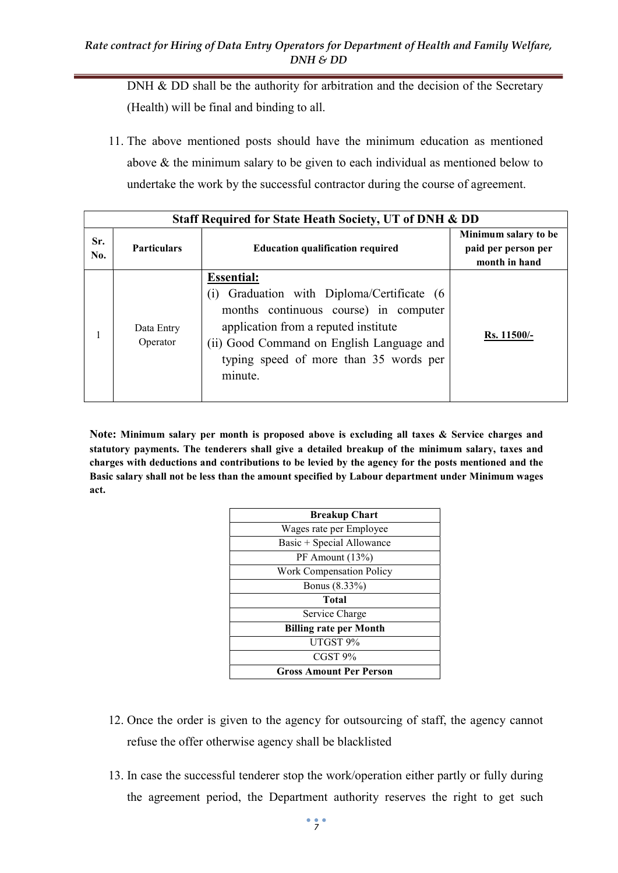DNH & DD shall be the authority for arbitration and the decision of the Secretary (Health) will be final and binding to all.

11. The above mentioned posts should have the minimum education as mentioned above & the minimum salary to be given to each individual as mentioned below to undertake the work by the successful contractor during the course of agreement.

| Staff Required for State Heath Society, UT of DNH & DD |                        |                                                                                                                                                                                                                                                       |                                                              |  |  |  |
|--------------------------------------------------------|------------------------|-------------------------------------------------------------------------------------------------------------------------------------------------------------------------------------------------------------------------------------------------------|--------------------------------------------------------------|--|--|--|
| Sr.<br>No.                                             | <b>Particulars</b>     | <b>Education qualification required</b>                                                                                                                                                                                                               | Minimum salary to be<br>paid per person per<br>month in hand |  |  |  |
|                                                        | Data Entry<br>Operator | <b>Essential:</b><br>Graduation with Diploma/Certificate (6<br>(1)<br>months continuous course) in computer<br>application from a reputed institute<br>(ii) Good Command on English Language and<br>typing speed of more than 35 words per<br>minute. | Rs. 11500/-                                                  |  |  |  |

Note: Minimum salary per month is proposed above is excluding all taxes & Service charges and statutory payments. The tenderers shall give a detailed breakup of the minimum salary, taxes and charges with deductions and contributions to be levied by the agency for the posts mentioned and the Basic salary shall not be less than the amount specified by Labour department under Minimum wages act.

| <b>Breakup Chart</b>           |
|--------------------------------|
| Wages rate per Employee        |
| Basic + Special Allowance      |
| PF Amount (13%)                |
| Work Compensation Policy       |
| Bonus (8.33%)                  |
| Total                          |
| Service Charge                 |
| <b>Billing rate per Month</b>  |
| UTGST 9%                       |
| CGST <sub>9%</sub>             |
| <b>Gross Amount Per Person</b> |

- 12. Once the order is given to the agency for outsourcing of staff, the agency cannot refuse the offer otherwise agency shall be blacklisted
- 13. In case the successful tenderer stop the work/operation either partly or fully during the agreement period, the Department authority reserves the right to get such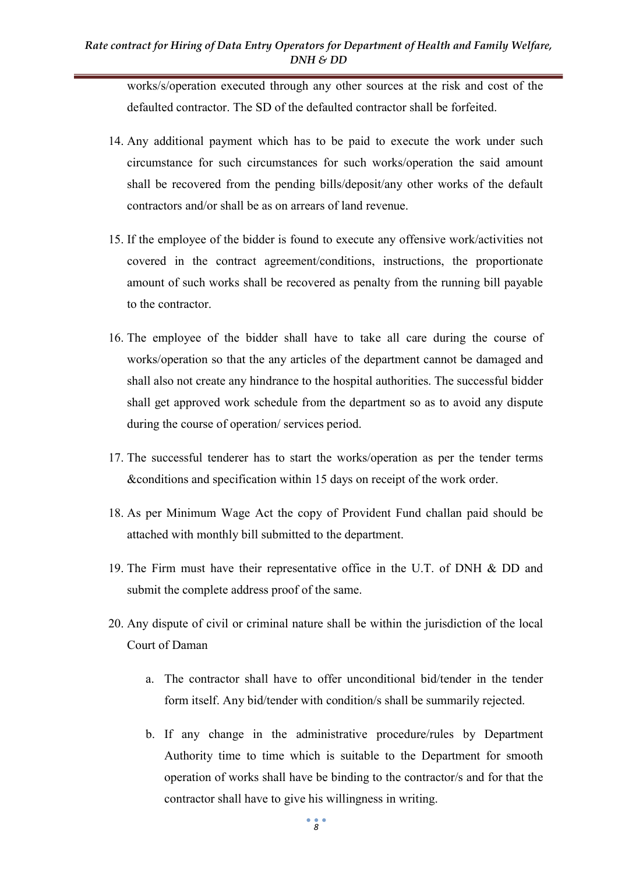works/s/operation executed through any other sources at the risk and cost of the defaulted contractor. The SD of the defaulted contractor shall be forfeited.

- 14. Any additional payment which has to be paid to execute the work under such circumstance for such circumstances for such works/operation the said amount shall be recovered from the pending bills/deposit/any other works of the default contractors and/or shall be as on arrears of land revenue.
- 15. If the employee of the bidder is found to execute any offensive work/activities not covered in the contract agreement/conditions, instructions, the proportionate amount of such works shall be recovered as penalty from the running bill payable to the contractor.
- 16. The employee of the bidder shall have to take all care during the course of works/operation so that the any articles of the department cannot be damaged and shall also not create any hindrance to the hospital authorities. The successful bidder shall get approved work schedule from the department so as to avoid any dispute during the course of operation/ services period.
- 17. The successful tenderer has to start the works/operation as per the tender terms &conditions and specification within 15 days on receipt of the work order.
- 18. As per Minimum Wage Act the copy of Provident Fund challan paid should be attached with monthly bill submitted to the department.
- 19. The Firm must have their representative office in the U.T. of DNH & DD and submit the complete address proof of the same.
- 20. Any dispute of civil or criminal nature shall be within the jurisdiction of the local Court of Daman
	- a. The contractor shall have to offer unconditional bid/tender in the tender form itself. Any bid/tender with condition/s shall be summarily rejected.
	- b. If any change in the administrative procedure/rules by Department Authority time to time which is suitable to the Department for smooth operation of works shall have be binding to the contractor/s and for that the contractor shall have to give his willingness in writing.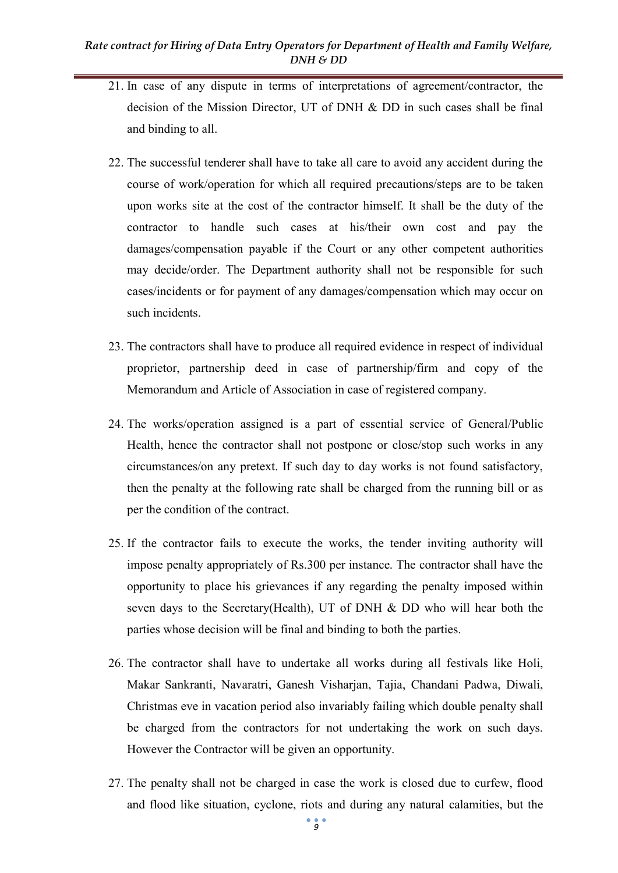- 21. In case of any dispute in terms of interpretations of agreement/contractor, the decision of the Mission Director, UT of DNH & DD in such cases shall be final and binding to all.
- 22. The successful tenderer shall have to take all care to avoid any accident during the course of work/operation for which all required precautions/steps are to be taken upon works site at the cost of the contractor himself. It shall be the duty of the contractor to handle such cases at his/their own cost and pay the damages/compensation payable if the Court or any other competent authorities may decide/order. The Department authority shall not be responsible for such cases/incidents or for payment of any damages/compensation which may occur on such incidents.
- 23. The contractors shall have to produce all required evidence in respect of individual proprietor, partnership deed in case of partnership/firm and copy of the Memorandum and Article of Association in case of registered company.
- 24. The works/operation assigned is a part of essential service of General/Public Health, hence the contractor shall not postpone or close/stop such works in any circumstances/on any pretext. If such day to day works is not found satisfactory, then the penalty at the following rate shall be charged from the running bill or as per the condition of the contract.
- 25. If the contractor fails to execute the works, the tender inviting authority will impose penalty appropriately of Rs.300 per instance. The contractor shall have the opportunity to place his grievances if any regarding the penalty imposed within seven days to the Secretary(Health), UT of DNH & DD who will hear both the parties whose decision will be final and binding to both the parties.
- 26. The contractor shall have to undertake all works during all festivals like Holi, Makar Sankranti, Navaratri, Ganesh Visharjan, Tajia, Chandani Padwa, Diwali, Christmas eve in vacation period also invariably failing which double penalty shall be charged from the contractors for not undertaking the work on such days. However the Contractor will be given an opportunity.
- 27. The penalty shall not be charged in case the work is closed due to curfew, flood and flood like situation, cyclone, riots and during any natural calamities, but the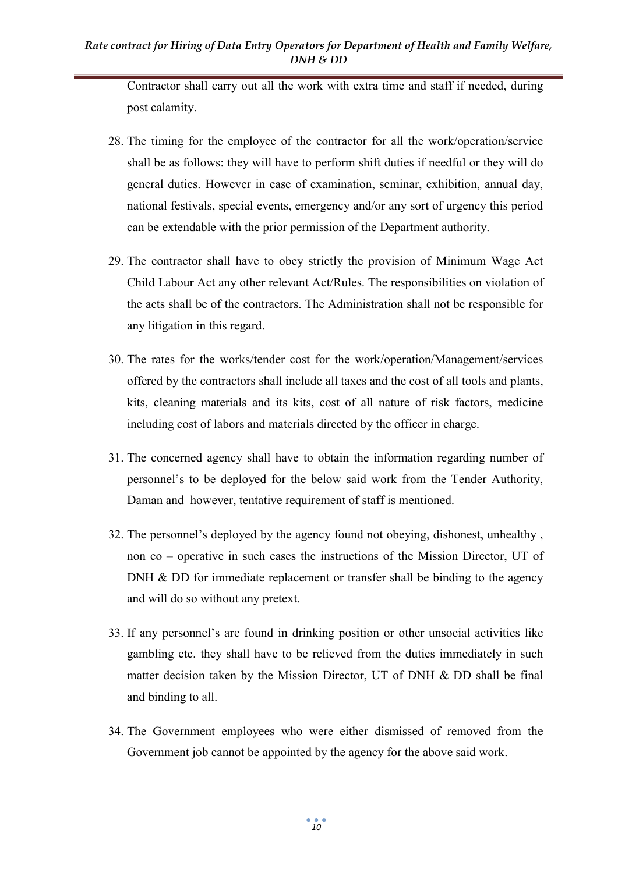Contractor shall carry out all the work with extra time and staff if needed, during post calamity.

- 28. The timing for the employee of the contractor for all the work/operation/service shall be as follows: they will have to perform shift duties if needful or they will do general duties. However in case of examination, seminar, exhibition, annual day, national festivals, special events, emergency and/or any sort of urgency this period can be extendable with the prior permission of the Department authority.
- 29. The contractor shall have to obey strictly the provision of Minimum Wage Act Child Labour Act any other relevant Act/Rules. The responsibilities on violation of the acts shall be of the contractors. The Administration shall not be responsible for any litigation in this regard.
- 30. The rates for the works/tender cost for the work/operation/Management/services offered by the contractors shall include all taxes and the cost of all tools and plants, kits, cleaning materials and its kits, cost of all nature of risk factors, medicine including cost of labors and materials directed by the officer in charge.
- 31. The concerned agency shall have to obtain the information regarding number of personnel's to be deployed for the below said work from the Tender Authority, Daman and however, tentative requirement of staff is mentioned.
- 32. The personnel's deployed by the agency found not obeying, dishonest, unhealthy , non co – operative in such cases the instructions of the Mission Director, UT of DNH & DD for immediate replacement or transfer shall be binding to the agency and will do so without any pretext.
- 33. If any personnel's are found in drinking position or other unsocial activities like gambling etc. they shall have to be relieved from the duties immediately in such matter decision taken by the Mission Director, UT of DNH & DD shall be final and binding to all.
- 34. The Government employees who were either dismissed of removed from the Government job cannot be appointed by the agency for the above said work.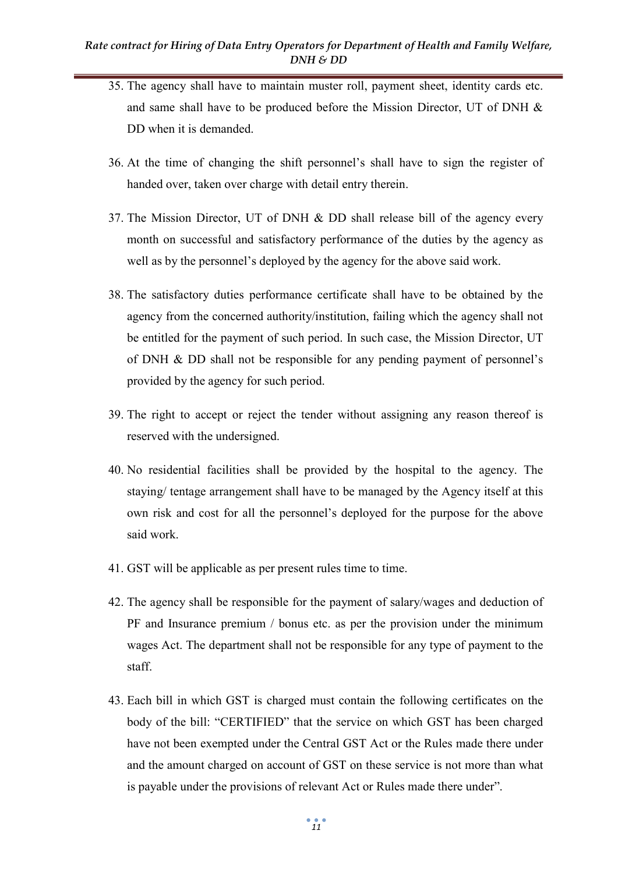- 35. The agency shall have to maintain muster roll, payment sheet, identity cards etc. and same shall have to be produced before the Mission Director, UT of DNH & DD when it is demanded.
- 36. At the time of changing the shift personnel's shall have to sign the register of handed over, taken over charge with detail entry therein.
- 37. The Mission Director, UT of DNH & DD shall release bill of the agency every month on successful and satisfactory performance of the duties by the agency as well as by the personnel's deployed by the agency for the above said work.
- 38. The satisfactory duties performance certificate shall have to be obtained by the agency from the concerned authority/institution, failing which the agency shall not be entitled for the payment of such period. In such case, the Mission Director, UT of DNH & DD shall not be responsible for any pending payment of personnel's provided by the agency for such period.
- 39. The right to accept or reject the tender without assigning any reason thereof is reserved with the undersigned.
- 40. No residential facilities shall be provided by the hospital to the agency. The staying/ tentage arrangement shall have to be managed by the Agency itself at this own risk and cost for all the personnel's deployed for the purpose for the above said work.
- 41. GST will be applicable as per present rules time to time.
- 42. The agency shall be responsible for the payment of salary/wages and deduction of PF and Insurance premium / bonus etc. as per the provision under the minimum wages Act. The department shall not be responsible for any type of payment to the staff.
- 43. Each bill in which GST is charged must contain the following certificates on the body of the bill: "CERTIFIED" that the service on which GST has been charged have not been exempted under the Central GST Act or the Rules made there under and the amount charged on account of GST on these service is not more than what is payable under the provisions of relevant Act or Rules made there under".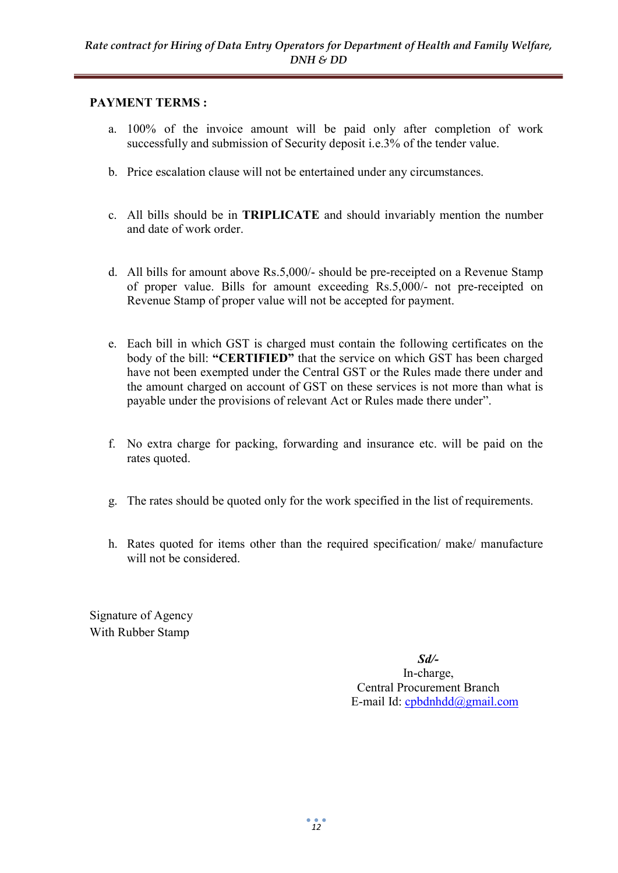### PAYMENT TERMS :

- a. 100% of the invoice amount will be paid only after completion of work successfully and submission of Security deposit i.e.3% of the tender value.
- b. Price escalation clause will not be entertained under any circumstances.
- c. All bills should be in TRIPLICATE and should invariably mention the number and date of work order.
- d. All bills for amount above Rs.5,000/- should be pre-receipted on a Revenue Stamp of proper value. Bills for amount exceeding Rs.5,000/- not pre-receipted on Revenue Stamp of proper value will not be accepted for payment.
- e. Each bill in which GST is charged must contain the following certificates on the body of the bill: "CERTIFIED" that the service on which GST has been charged have not been exempted under the Central GST or the Rules made there under and the amount charged on account of GST on these services is not more than what is payable under the provisions of relevant Act or Rules made there under".
- f. No extra charge for packing, forwarding and insurance etc. will be paid on the rates quoted.
- g. The rates should be quoted only for the work specified in the list of requirements.
- h. Rates quoted for items other than the required specification/ make/ manufacture will not be considered.

Signature of Agency With Rubber Stamp

> Sd/- In-charge, Central Procurement Branch E-mail Id: cpbdnhdd@gmail.com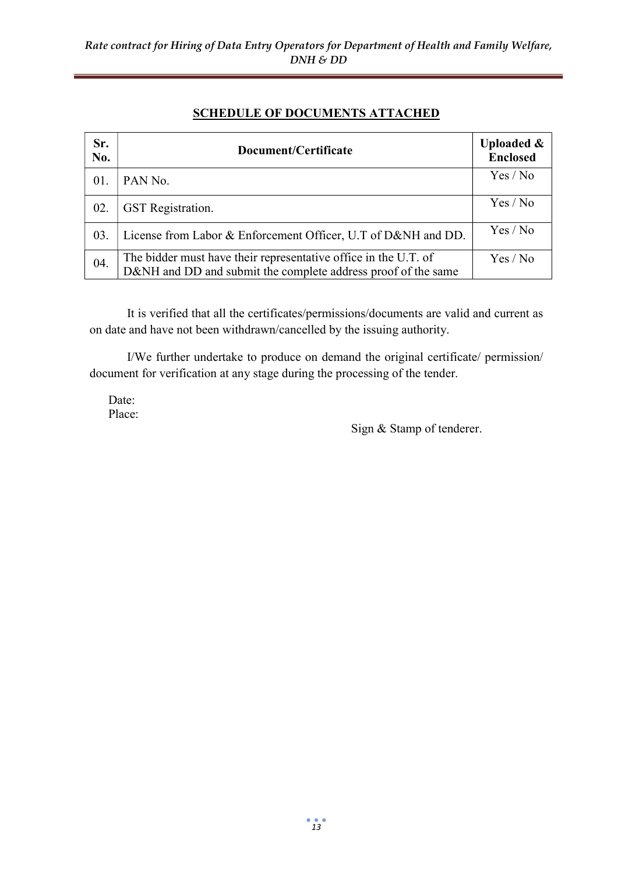### SCHEDULE OF DOCUMENTS ATTACHED

| Sr.<br>No. | Document/Certificate                                                                                                             | <b>Uploaded &amp;</b><br><b>Enclosed</b> |
|------------|----------------------------------------------------------------------------------------------------------------------------------|------------------------------------------|
| 01.        | PAN No.                                                                                                                          | Yes / No                                 |
| 02.        | <b>GST</b> Registration.                                                                                                         | Yes / No                                 |
| 03.        | License from Labor & Enforcement Officer, U.T of D&NH and DD.                                                                    | Yes / No                                 |
| 04.        | The bidder must have their representative office in the U.T. of<br>D&NH and DD and submit the complete address proof of the same | Yes / No                                 |

It is verified that all the certificates/permissions/documents are valid and current as on date and have not been withdrawn/cancelled by the issuing authority.

 I/We further undertake to produce on demand the original certificate/ permission/ document for verification at any stage during the processing of the tender.

Date: Place:

Sign & Stamp of tenderer.